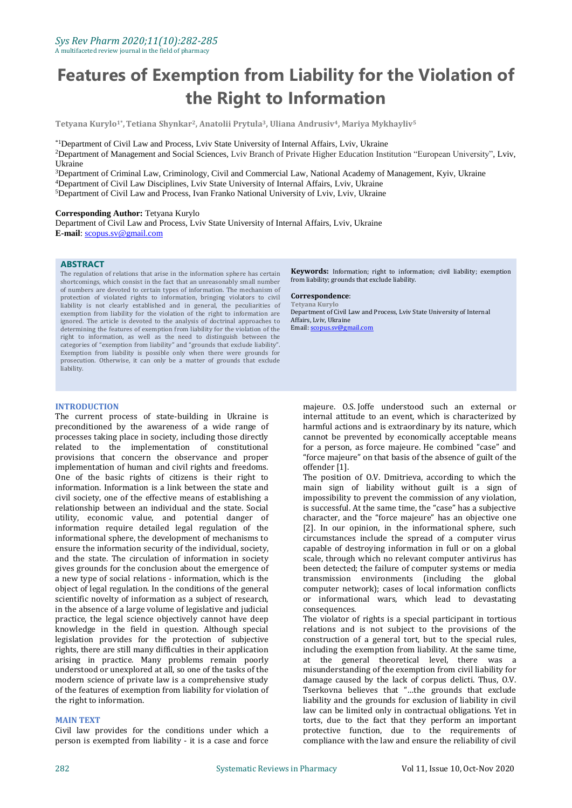# **Features of Exemption from Liability for the Violation of the Right to Information**

**Tetyana Kurylo1\* ,Tetiana Shynkar2, Anatolii Prytula3, Uliana Andrusiv4, Mariya Mykhayliv<sup>5</sup>**

\*1Department of Civil Law and Process, Lviv State University of Internal Affairs, Lviv, Ukraine

<sup>2</sup>Department of Management and Social Sciences, Lviv Branch of Private Higher Education Institution "European University", Lviv, Ukraine

<sup>3</sup>Department of Criminal Law, Criminology, Civil and Commercial Law, National Academy of Management, Kyiv, Ukraine <sup>4</sup>Department of Civil Law Disciplines, Lviv State University of Internal Affairs, Lviv, Ukraine

<sup>5</sup>Department of Civil Law and Process, Ivan Franko National University of Lviv, Lviv, Ukraine

### **Corresponding Author:** Tetyana Kurylo

Department of Civil Law and Process, Lviv State University of Internal Affairs, Lviv, Ukraine **E-mail**[: scopus.sv@gmail.com](mailto:scopus.sv@gmail.com)

## **ABSTRACT**

The regulation of relations that arise in the information sphere has certain shortcomings, which consist in the fact that an unreasonably small number of numbers are devoted to certain types of information. The mechanism of protection of violated rights to information, bringing violators to civil liability is not clearly established and in general, the peculiarities of exemption from liability for the violation of the right to information are ignored. The article is devoted to the analysis of doctrinal approaches to determining the features of exemption from liability for the violation of the right to information, as well as the need to distinguish between the categories of "exemption from liability" and "grounds that exclude liability". Exemption from liability is possible only when there were grounds for prosecution. Otherwise, it can only be a matter of grounds that exclude liability.

### **INTRODUCTION**

The current process of state-building in Ukraine is preconditioned by the awareness of a wide range of processes taking place in society, including those directly related to the implementation of constitutional provisions that concern the observance and proper implementation of human and civil rights and freedoms. One of the basic rights of citizens is their right to information. Information is a link between the state and civil society, one of the effective means of establishing a relationship between an individual and the state. Social utility, economic value, and potential danger of information require detailed legal regulation of the informational sphere, the development of mechanisms to ensure the information security of the individual, society, and the state. The circulation of information in society gives grounds for the conclusion about the emergence of a new type of social relations - information, which is the object of legal regulation. In the conditions of the general scientific novelty of information as a subject of research, in the absence of a large volume of legislative and judicial practice, the legal science objectively cannot have deep knowledge in the field in question. Although special legislation provides for the protection of subjective rights, there are still many difficulties in their application arising in practice. Many problems remain poorly understood or unexplored at all, so one of the tasks of the modern science of private law is a comprehensive study of the features of exemption from liability for violation of the right to information.

## **MAIN TEXT**

Civil law provides for the conditions under which a person is exempted from liability - it is a case and force **Keywords:** Information; right to information; civil liability; exemption from liability; grounds that exclude liability.

#### **Correspondence**:

**Tetyana Kurylo** Department of Civil Law and Process, Lviv State University of Internal Affairs, Lviv, Ukraine Email[: scopus.sv@gmail.com](mailto:scopus.sv@gmail.com)

majeure. O.S. Joffe understood such an external or internal attitude to an event, which is characterized by harmful actions and is extraordinary by its nature, which cannot be prevented by economically acceptable means for a person, as force majeure. He combined "case" and "force majeure" on that basis of the absence of guilt of the offender [1].

The position of O.V. Dmitrieva, according to which the main sign of liability without guilt is a sign of impossibility to prevent the commission of any violation, is successful. At the same time, the "case" has a subjective character, and the "force majeure" has an objective one [2]. In our opinion, in the informational sphere, such circumstances include the spread of a computer virus capable of destroying information in full or on a global scale, through which no relevant computer antivirus has been detected; the failure of computer systems or media transmission environments (including the global computer network); cases of local information conflicts or informational wars, which lead to devastating consequences.

The violator of rights is a special participant in tortious relations and is not subject to the provisions of the construction of a general tort, but to the special rules, including the exemption from liability. At the same time, at the general theoretical level, there was a misunderstanding of the exemption from civil liability for damage caused by the lack of corpus delicti. Thus, O.V. Tserkovna believes that "…the grounds that exclude liability and the grounds for exclusion of liability in civil law can be limited only in contractual obligations. Yet in torts, due to the fact that they perform an important protective function, due to the requirements of compliance with the law and ensure the reliability of civil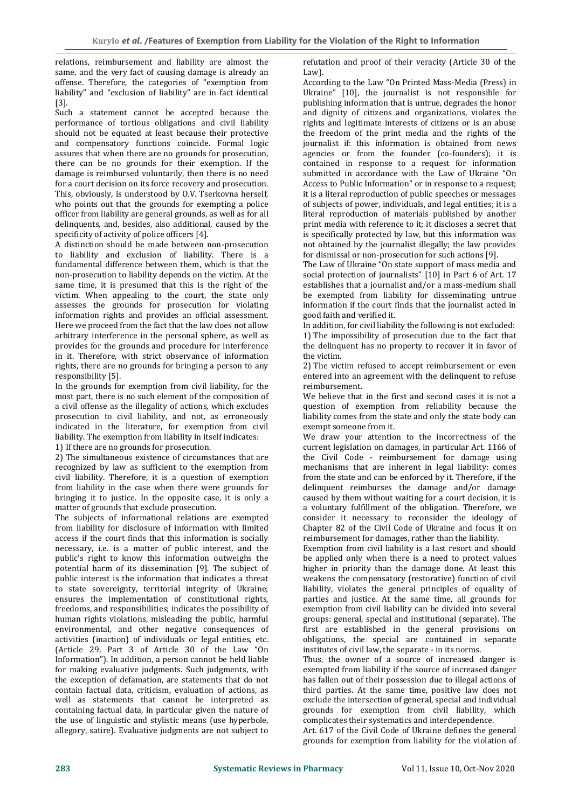relations, reimbursement and liability are almost the same, and the very fact of causing damage is already an offense. Therefore, the categories of "exemption from liability" and "exclusion of liability" are in fact identical [3].

Such a statement cannot be accepted because the performance of tortious obligations and civil liability should not be equated at least because their protective and compensatory functions coincide. Formal logic assures that when there are no grounds for prosecution, there can be no grounds for their exemption. If the damage is reimbursed voluntarily, then there is no need for a court decision on its force recovery and prosecution. This, obviously, is understood by O.V. Tserkovna herself, who points out that the grounds for exempting a police officer from liability are general grounds, as well as for all delinquents, and, besides, also additional, caused by the specificity of activity of police officers [4].

A distinction should be made between non-prosecution to liability and exclusion of liability. There is a fundamental difference between them, which is that the non-prosecution to liability depends on the victim. At the same time, it is presumed that this is the right of the victim. When appealing to the court, the state only assesses the grounds for prosecution for violating information rights and provides an official assessment. Here we proceed from the fact that the law does not allow arbitrary interference in the personal sphere, as well as provides for the grounds and procedure for interference in it. Therefore, with strict observance of information rights, there are no grounds for bringing a person to any responsibility [5].

In the grounds for exemption from civil liability, for the most part, there is no such element of the composition of a civil offense as the illegality of actions, which excludes prosecution to civil liability, and not, as erroneously indicated in the literature, for exemption from civil liability. The exemption from liability in itself indicates: 1) If there are no grounds for prosecution.

2) The simultaneous existence of circumstances that are recognized by law as sufficient to the exemption from civil liability. Therefore, it is a question of exemption from liability in the case when there were grounds for bringing it to justice. In the opposite case, it is only a matter of grounds that exclude prosecution.

The subjects of informational relations are exempted from liability for disclosure of information with limited access if the court finds that this information is socially necessary, i.e. is a matter of public interest, and the public's right to know this information outweighs the potential harm of its dissemination [9]. The subject of public interest is the information that indicates a threat to state sovereignty, territorial integrity of Ukraine; ensures the implementation of constitutional rights, freedoms, and responsibilities; indicates the possibility of human rights violations, misleading the public, harmful environmental, and other negative consequences of activities (inaction) of individuals or legal entities, etc. (Article 29, Part 3 of Article 30 of the Law "On Information"). In addition, a person cannot be held liable for making evaluative judgments. Such judgments, with the exception of defamation, are statements that do not contain factual data, criticism, evaluation of actions, as well as statements that cannot be interpreted as containing factual data, in particular given the nature of the use of linguistic and stylistic means (use hyperbole, allegory, satire). Evaluative judgments are not subject to refutation and proof of their veracity (Article 30 of the Law).

According to the Law "On Printed Mass-Media (Press) in Ukraine" [10], the journalist is not responsible for publishing information that is untrue, degrades the honor and dignity of citizens and organizations, violates the rights and legitimate interests of citizens or is an abuse the freedom of the print media and the rights of the journalist if: this information is obtained from news agencies or from the founder (co-founders); it is contained in response to a request for information submitted in accordance with the Law of Ukraine "On Access to Public Information" or in response to a request; it is a literal reproduction of public speeches or messages of subjects of power, individuals, and legal entities; it is a literal reproduction of materials published by another print media with reference to it; it discloses a secret that is specifically protected by law, but this information was not obtained by the journalist illegally; the law provides for dismissal or non-prosecution for such actions [9].

The Law of Ukraine "On state support of mass media and social protection of journalists" [10] in Part 6 of Art. 17 establishes that a journalist and/or a mass-medium shall be exempted from liability for disseminating untrue information if the court finds that the journalist acted in good faith and verified it.

In addition, for civil liability the following is not excluded: 1) The impossibility of prosecution due to the fact that the delinquent has no property to recover it in favor of the victim.

2) The victim refused to accept reimbursement or even entered into an agreement with the delinquent to refuse reimbursement.

We believe that in the first and second cases it is not a question of exemption from reliability because the liability comes from the state and only the state body can exempt someone from it.

We draw your attention to the incorrectness of the current legislation on damages, in particular Art. 1166 of the Civil Code - reimbursement for damage using mechanisms that are inherent in legal liability: comes from the state and can be enforced by it. Therefore, if the delinquent reimburses the damage and/or damage caused by them without waiting for a court decision, it is a voluntary fulfillment of the obligation. Therefore, we consider it necessary to reconsider the ideology of Chapter 82 of the Civil Code of Ukraine and focus it on reimbursement for damages, rather than the liability.

Exemption from civil liability is a last resort and should be applied only when there is a need to protect values higher in priority than the damage done. At least this weakens the compensatory (restorative) function of civil liability, violates the general principles of equality of parties and justice. At the same time, all grounds for exemption from civil liability can be divided into several groups: general, special and institutional (separate). The first are established in the general provisions on obligations, the special are contained in separate institutes of civil law, the separate - in its norms.

Thus, the owner of a source of increased danger is exempted from liability if the source of increased danger has fallen out of their possession due to illegal actions of third parties. At the same time, positive law does not exclude the intersection of general, special and individual grounds for exemption from civil liability, which complicates their systematics and interdependence.

Art. 617 of the Civil Code of Ukraine defines the general grounds for exemption from liability for the violation of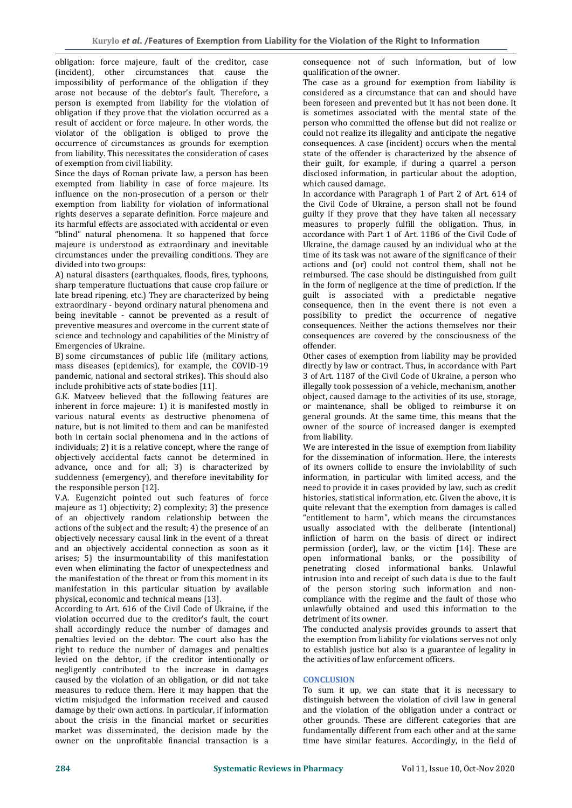obligation: force majeure, fault of the creditor, case (incident), other circumstances that cause the impossibility of performance of the obligation if they arose not because of the debtor's fault. Therefore, a person is exempted from liability for the violation of obligation if they prove that the violation occurred as a result of accident or force majeure. In other words, the violator of the obligation is obliged to prove the occurrence of circumstances as grounds for exemption from liability. This necessitates the consideration of cases of exemption from civil liability.

Since the days of Roman private law, a person has been exempted from liability in case of force majeure. Its influence on the non-prosecution of a person or their exemption from liability for violation of informational rights deserves a separate definition. Force majeure and its harmful effects are associated with accidental or even "blind" natural phenomena. It so happened that force majeure is understood as extraordinary and inevitable circumstances under the prevailing conditions. They are divided into two groups:

A) natural disasters (earthquakes, floods, fires, typhoons, sharp temperature fluctuations that cause crop failure or late bread ripening, etc.) They are characterized by being extraordinary - beyond ordinary natural phenomena and being inevitable - cannot be prevented as a result of preventive measures and overcome in the current state of science and technology and capabilities of the Ministry of Emergencies of Ukraine.

B) some circumstances of public life (military actions, mass diseases (epidemics), for example, the COVID-19 pandemic, national and sectoral strikes). This should also include prohibitive acts of state bodies [11].

G.K. Matveev believed that the following features are inherent in force majeure: 1) it is manifested mostly in various natural events as destructive phenomena of nature, but is not limited to them and can be manifested both in certain social phenomena and in the actions of individuals; 2) it is a relative concept, where the range of objectively accidental facts cannot be determined in advance, once and for all; 3) is characterized by suddenness (emergency), and therefore inevitability for the responsible person [12].

V.A. Eugenzicht pointed out such features of force majeure as 1) objectivity; 2) complexity; 3) the presence of an objectively random relationship between the actions of the subject and the result; 4) the presence of an objectively necessary causal link in the event of a threat and an objectively accidental connection as soon as it arises; 5) the insurmountability of this manifestation even when eliminating the factor of unexpectedness and the manifestation of the threat or from this moment in its manifestation in this particular situation by available physical, economic and technical means [13].

According to Art. 616 of the Civil Code of Ukraine, if the violation occurred due to the creditor's fault, the court shall accordingly reduce the number of damages and penalties levied on the debtor. The court also has the right to reduce the number of damages and penalties levied on the debtor, if the creditor intentionally or negligently contributed to the increase in damages caused by the violation of an obligation, or did not take measures to reduce them. Here it may happen that the victim misjudged the information received and caused damage by their own actions. In particular, if information about the crisis in the financial market or securities market was disseminated, the decision made by the owner on the unprofitable financial transaction is a

consequence not of such information, but of low qualification of the owner.

The case as a ground for exemption from liability is considered as a circumstance that can and should have been foreseen and prevented but it has not been done. It is sometimes associated with the mental state of the person who committed the offense but did not realize or could not realize its illegality and anticipate the negative consequences. A case (incident) occurs when the mental state of the offender is characterized by the absence of their guilt, for example, if during a quarrel a person disclosed information, in particular about the adoption, which caused damage.

In accordance with Paragraph 1 of Part 2 of Art. 614 of the Civil Code of Ukraine, a person shall not be found guilty if they prove that they have taken all necessary measures to properly fulfill the obligation. Thus, in accordance with Part 1 of Art. 1186 of the Civil Code of Ukraine, the damage caused by an individual who at the time of its task was not aware of the significance of their actions and (or) could not control them, shall not be reimbursed. The case should be distinguished from guilt in the form of negligence at the time of prediction. If the guilt is associated with a predictable negative consequence, then in the event there is not even a possibility to predict the occurrence of negative consequences. Neither the actions themselves nor their consequences are covered by the consciousness of the offender.

Other cases of exemption from liability may be provided directly by law or contract. Thus, in accordance with Part 3 of Art. 1187 of the Civil Code of Ukraine, a person who illegally took possession of a vehicle, mechanism, another object, caused damage to the activities of its use, storage, or maintenance, shall be obliged to reimburse it on general grounds. At the same time, this means that the owner of the source of increased danger is exempted from liability.

We are interested in the issue of exemption from liability for the dissemination of information. Here, the interests of its owners collide to ensure the inviolability of such information, in particular with limited access, and the need to provide it in cases provided by law, such as credit histories, statistical information, etc. Given the above, it is quite relevant that the exemption from damages is called "entitlement to harm", which means the circumstances usually associated with the deliberate (intentional) infliction of harm on the basis of direct or indirect permission (order), law, or the victim [14]. These are open informational banks, or the possibility of penetrating closed informational banks. Unlawful intrusion into and receipt of such data is due to the fault of the person storing such information and noncompliance with the regime and the fault of those who unlawfully obtained and used this information to the detriment of its owner.

The conducted analysis provides grounds to assert that the exemption from liability for violations serves not only to establish justice but also is a guarantee of legality in the activities of law enforcement officers.

# **CONCLUSION**

To sum it up, we can state that it is necessary to distinguish between the violation of civil law in general and the violation of the obligation under a contract or other grounds. These are different categories that are fundamentally different from each other and at the same time have similar features. Accordingly, in the field of